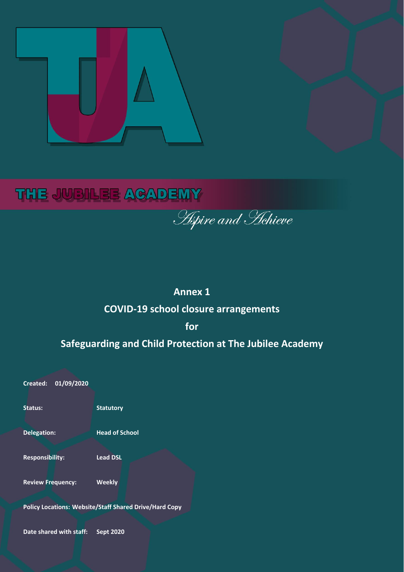

# **THE JUBILEE ACADEMY**

**Aspire and Hehieve** 

# **Annex 1**

# **COVID-19 school closure arrangements**

**for** 

# **Safeguarding and Child Protection at The Jubilee Academy**

**Contents Review Frequency: Weekly** Policy Locations: Website/Staff Shared Drive/Hard Copy **Contract Contract Contract Contract Contract Contract Co Created: 01/09/2020 Status: Statutory Delegation: Head of School Responsibility: Lead DSL Date shared with staff: Sept 2020**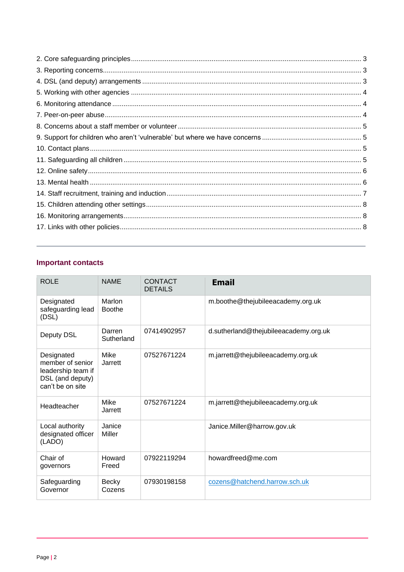# <span id="page-1-0"></span>**Important contacts**

| <b>ROLE</b>                                                                                  | <b>NAME</b>             | <b>CONTACT</b><br><b>DETAILS</b> | <b>Email</b>                          |
|----------------------------------------------------------------------------------------------|-------------------------|----------------------------------|---------------------------------------|
| Designated<br>safeguarding lead<br>(DSL)                                                     | Marlon<br><b>Boothe</b> |                                  | m.boothe@thejubileeacademy.org.uk     |
| Deputy DSL                                                                                   | Darren<br>Sutherland    | 07414902957                      | d.sutherland@thejubileeacademy.org.uk |
| Designated<br>member of senior<br>leadership team if<br>DSL (and deputy)<br>can't be on site | Mike<br>Jarrett         | 07527671224                      | m.jarrett@thejubileeacademy.org.uk    |
| Headteacher                                                                                  | <b>Mike</b><br>Jarrett  | 07527671224                      | m.jarrett@thejubileeacademy.org.uk    |
| Local authority<br>designated officer<br>(LADO)                                              | Janice<br>Miller        |                                  | Janice.Miller@harrow.gov.uk           |
| Chair of<br>governors                                                                        | Howard<br>Freed         | 07922119294                      | howardfreed@me.com                    |
| Safeguarding<br>Governor                                                                     | <b>Becky</b><br>Cozens  | 07930198158                      | cozens@hatchend.harrow.sch.uk         |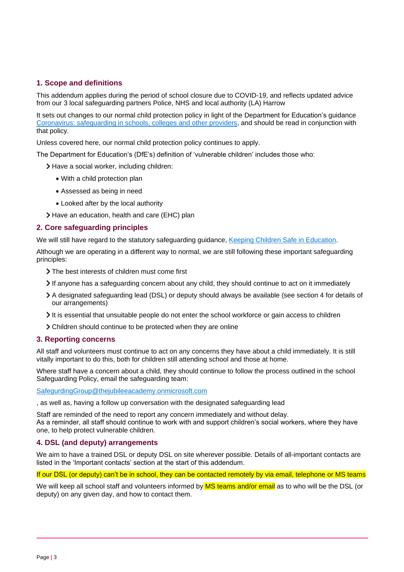# <span id="page-2-0"></span>**1. Scope and definitions**

This addendum applies during the period of school closure due to COVID-19, and reflects updated advice from our 3 local safeguarding partners Police, NHS and local authority (LA) Harrow

It sets out changes to our normal child protection policy in light of the Department for Education's guidance [Coronavirus: safeguarding in schools, colleges and other providers,](https://www.gov.uk/government/publications/covid-19-safeguarding-in-schools-colleges-and-other-providers) and should be read in conjunction with that policy.

Unless covered here, our normal child protection policy continues to apply.

The Department for Education's (DfE's) definition of 'vulnerable children' includes those who:

- > Have a social worker, including children:
	- With a child protection plan
	- Assessed as being in need
	- Looked after by the local authority
- Have an education, health and care (EHC) plan

## <span id="page-2-1"></span>**2. Core safeguarding principles**

We will still have regard to the statutory safeguarding guidance, [Keeping Children Safe in Education.](https://www.gov.uk/government/publications/keeping-children-safe-in-education--2)

Although we are operating in a different way to normal, we are still following these important safeguarding principles:

- > The best interests of children must come first
- If anyone has a safeguarding concern about any child, they should continue to act on it immediately
- A designated safeguarding lead (DSL) or deputy should always be available (see section 4 for details of our arrangements)
- It is essential that unsuitable people do not enter the school workforce or gain access to children
- Children should continue to be protected when they are online

### <span id="page-2-2"></span>**3. Reporting concerns**

All staff and volunteers must continue to act on any concerns they have about a child immediately. It is still vitally important to do this, both for children still attending school and those at home.

Where staff have a concern about a child, they should continue to follow the process outlined in the school Safeguarding Policy, email the safeguarding team:

[SafegurdingGroup@thejubileeacademy.onmicrosoft.com](mailto:SafegurdingGroup@thejubileeacademy.onmicrosoft.com)

, as well as, having a follow up conversation with the designated safeguarding lead

Staff are reminded of the need to report any concern immediately and without delay. As a reminder, all staff should continue to work with and support children's social workers, where they have one, to help protect vulnerable children.

### <span id="page-2-3"></span>**4. DSL (and deputy) arrangements**

We aim to have a trained DSL or deputy DSL on site wherever possible. Details of all-important contacts are listed in the 'Important contacts' section at the start of this addendum.

If our DSL (or deputy) can't be in school, they can be contacted remotely by via email, telephone or MS teams

We will keep all school staff and volunteers informed by MS teams and/or email as to who will be the DSL (or deputy) on any given day, and how to contact them.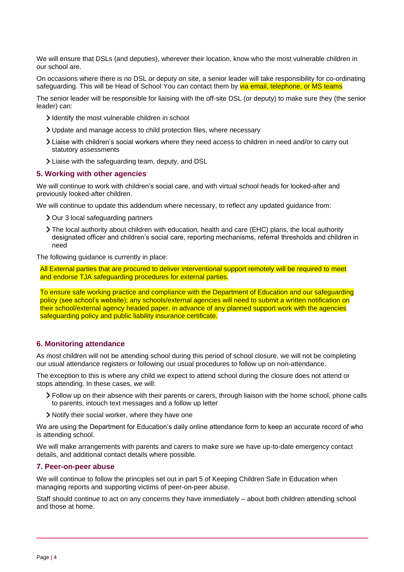We will ensure that DSLs (and deputies), wherever their location, know who the most vulnerable children in our school are.

On occasions where there is no DSL or deputy on site, a senior leader will take responsibility for co-ordinating safeguarding. This will be Head of School You can contact them by via email, telephone, or MS teams

The senior leader will be responsible for liaising with the off-site DSL (or deputy) to make sure they (the senior leader) can:

- I dentify the most vulnerable children in school
- Update and manage access to child protection files, where necessary
- Liaise with children's social workers where they need access to children in need and/or to carry out statutory assessments
- Liaise with the safeguarding team, deputy, and DSL

#### <span id="page-3-0"></span>**5. Working with other agencies**

We will continue to work with children's social care, and with virtual school heads for looked-after and previously looked-after children.

We will continue to update this addendum where necessary, to reflect any updated guidance from:

- > Our 3 local safeguarding partners
- The local authority about children with education, health and care (EHC) plans, the local authority designated officer and children's social care, reporting mechanisms, referral thresholds and children in need

The following guidance is currently in place:

<span id="page-3-1"></span>All External parties that are procured to deliver interventional support remotely will be required to meet and endorse TJA safeguarding procedures for external parties.

To ensure safe working practice and compliance with the Department of Education and our safeguarding policy (see school's website); any schools/external agencies will need to submit a written notification on their school/external agency headed paper, in advance of any planned support work with the agencies safeguarding policy and public liability insurance certificate.

### **6. Monitoring attendance**

As most children will not be attending school during this period of school closure, we will not be completing our usual attendance registers or following our usual procedures to follow up on non-attendance.

The exception to this is where any child we expect to attend school during the closure does not attend or stops attending. In these cases, we will:

- Follow up on their absence with their parents or carers, through liaison with the home school, phone calls to parents, intouch text messages and a follow up letter
- Notify their social worker, where they have one

We are using the Department for Education's daily online attendance form to keep an accurate record of who is attending school.

We will make arrangements with parents and carers to make sure we have up-to-date emergency contact details, and additional contact details where possible.

#### <span id="page-3-2"></span>**7. Peer-on-peer abuse**

We will continue to follow the principles set out in part 5 of Keeping Children Safe in Education when managing reports and supporting victims of peer-on-peer abuse.

Staff should continue to act on any concerns they have immediately – about both children attending school and those at home.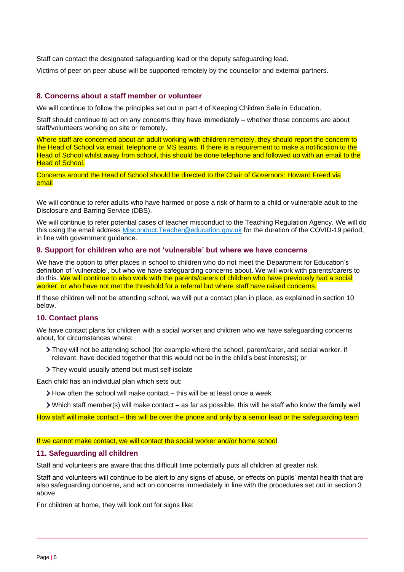Staff can contact the designated safeguarding lead or the deputy safeguarding lead.

Victims of peer on peer abuse will be supported remotely by the counsellor and external partners.

#### <span id="page-4-0"></span>**8. Concerns about a staff member or volunteer**

We will continue to follow the principles set out in part 4 of Keeping Children Safe in Education.

Staff should continue to act on any concerns they have immediately – whether those concerns are about staff/volunteers working on site or remotely.

Where staff are concerned about an adult working with children remotely, they should report the concern to the Head of School via email, telephone or MS teams. If there is a requirement to make a notification to the Head of School whilst away from school, this should be done telephone and followed up with an email to the **Head of School.** 

Concerns around the Head of School should be directed to the Chair of Governors: Howard Freed via email

We will continue to refer adults who have harmed or pose a risk of harm to a child or vulnerable adult to the Disclosure and Barring Service (DBS).

We will continue to refer potential cases of teacher misconduct to the Teaching Regulation Agency. We will do this using the email address [Misconduct.Teacher@education.gov.uk](mailto:Misconduct.Teacher@education.gov.uk) for the duration of the COVID-19 period, in line with government guidance.

#### <span id="page-4-1"></span>**9. Support for children who are not 'vulnerable' but where we have concerns**

We have the option to offer places in school to children who do not meet the Department for Education's definition of 'vulnerable', but who we have safeguarding concerns about. We will work with parents/carers to do this. We will continue to also work with the parents/carers of children who have previously had a social worker, or who have not met the threshold for a referral but where staff have raised concerns.

If these children will not be attending school, we will put a contact plan in place, as explained in section 10 below.

#### <span id="page-4-2"></span>**10. Contact plans**

We have contact plans for children with a social worker and children who we have safeguarding concerns about, for circumstances where:

- They will not be attending school (for example where the school, parent/carer, and social worker, if relevant, have decided together that this would not be in the child's best interests); or
- They would usually attend but must self-isolate

Each child has an individual plan which sets out:

- $\geq$  How often the school will make contact this will be at least once a week
- Which staff member(s) will make contact as far as possible, this will be staff who know the family well

How staff will make contact – this will be over the phone and only by a senior lead or the safeguarding team

#### If we cannot make contact, we will contact the social worker and/or home school

#### <span id="page-4-3"></span>**11. Safeguarding all children**

Staff and volunteers are aware that this difficult time potentially puts all children at greater risk.

Staff and volunteers will continue to be alert to any signs of abuse, or effects on pupils' mental health that are also safeguarding concerns, and act on concerns immediately in line with the procedures set out in section 3 above

For children at home, they will look out for signs like: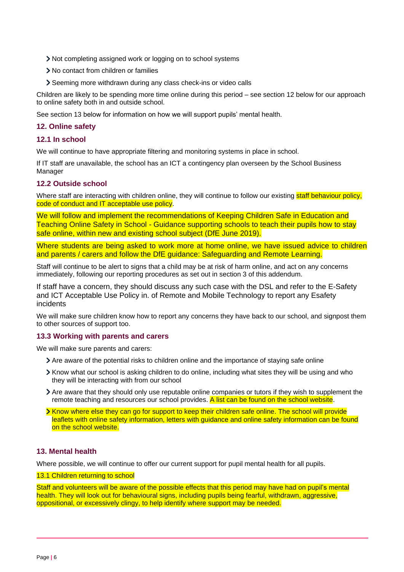- Not completing assigned work or logging on to school systems
- > No contact from children or families
- Seeming more withdrawn during any class check-ins or video calls

Children are likely to be spending more time online during this period – see section 12 below for our approach to online safety both in and outside school.

See section 13 below for information on how we will support pupils' mental health.

### <span id="page-5-0"></span>**12. Online safety**

### **12.1 In school**

We will continue to have appropriate filtering and monitoring systems in place in school.

If IT staff are unavailable, the school has an ICT a contingency plan overseen by the School Business Manager

### **12.2 Outside school**

Where staff are interacting with children online, they will continue to follow our existing staff behaviour policy, code of conduct and IT acceptable use policy.

We will follow and implement the recommendations of Keeping Children Safe in Education and Teaching Online Safety in School - Guidance supporting schools to teach their pupils how to stay safe online, within new and existing school subject (DfE June 2019).

Where students are being asked to work more at home online, we have issued advice to children and parents / carers and follow the DfE guidance: Safeguarding and Remote Learning.

Staff will continue to be alert to signs that a child may be at risk of harm online, and act on any concerns immediately, following our reporting procedures as set out in section 3 of this addendum.

If staff have a concern, they should discuss any such case with the DSL and refer to the E-Safety and ICT Acceptable Use Policy in. of Remote and Mobile Technology to report any Esafety incidents

We will make sure children know how to report any concerns they have back to our school, and signpost them to other sources of support too.

### **13.3 Working with parents and carers**

We will make sure parents and carers:

- Are aware of the potential risks to children online and the importance of staying safe online
- Know what our school is asking children to do online, including what sites they will be using and who they will be interacting with from our school
- Are aware that they should only use reputable online companies or tutors if they wish to supplement the remote teaching and resources our school provides. A list can be found on the school website.
- **> Know where else they can go for support to keep their children safe online. The school will provide** leaflets with online safety information, letters with guidance and online safety information can be found on the school website.

### <span id="page-5-1"></span>**13. Mental health**

Where possible, we will continue to offer our current support for pupil mental health for all pupils.

#### 13.1 Children returning to school

Staff and volunteers will be aware of the possible effects that this period may have had on pupil's mental health. They will look out for behavioural signs, including pupils being fearful, withdrawn, aggressive, oppositional, or excessively clingy, to help identify where support may be needed.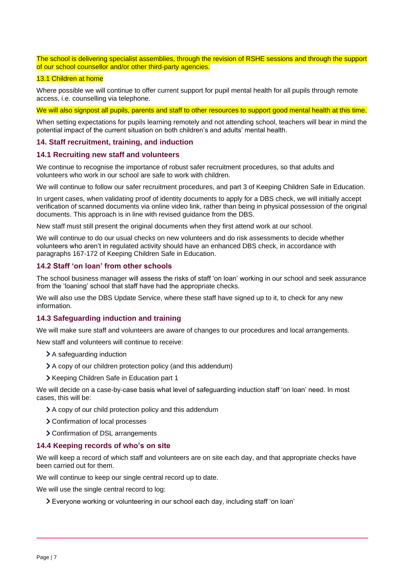The school is delivering specialist assemblies, through the revision of RSHE sessions and through the support of our school counsellor and/or other third-party agencies.

### 13.1 Children at home

Where possible we will continue to offer current support for pupil mental health for all pupils through remote access, i.e. counselling via telephone.

We will also signpost all pupils, parents and staff to other resources to support good mental health at this time.

When setting expectations for pupils learning remotely and not attending school, teachers will bear in mind the potential impact of the current situation on both children's and adults' mental health.

#### <span id="page-6-0"></span>**14. Staff recruitment, training, and induction**

#### **14.1 Recruiting new staff and volunteers**

We continue to recognise the importance of robust safer recruitment procedures, so that adults and volunteers who work in our school are safe to work with children.

We will continue to follow our safer recruitment procedures, and part 3 of Keeping Children Safe in Education.

In urgent cases, when validating proof of identity documents to apply for a DBS check, we will initially accept verification of scanned documents via online video link, rather than being in physical possession of the original documents. This approach is in line with revised guidance from the DBS.

New staff must still present the original documents when they first attend work at our school.

We will continue to do our usual checks on new volunteers and do risk assessments to decide whether volunteers who aren't in regulated activity should have an enhanced DBS check, in accordance with paragraphs 167-172 of Keeping Children Safe in Education.

#### **14.2 Staff 'on loan' from other schools**

The school business manager will assess the risks of staff 'on loan' working in our school and seek assurance from the 'loaning' school that staff have had the appropriate checks.

We will also use the DBS Update Service, where these staff have signed up to it, to check for any new information.

### **14.3 Safeguarding induction and training**

We will make sure staff and volunteers are aware of changes to our procedures and local arrangements.

New staff and volunteers will continue to receive:

- > A safeguarding induction
- A copy of our children protection policy (and this addendum)
- > Keeping Children Safe in Education part 1

We will decide on a case-by-case basis what level of safeguarding induction staff 'on loan' need. In most cases, this will be:

- A copy of our child protection policy and this addendum
- > Confirmation of local processes
- > Confirmation of DSL arrangements

#### **14.4 Keeping records of who's on site**

We will keep a record of which staff and volunteers are on site each day, and that appropriate checks have been carried out for them.

We will continue to keep our single central record up to date.

We will use the single central record to log:

Everyone working or volunteering in our school each day, including staff 'on loan'